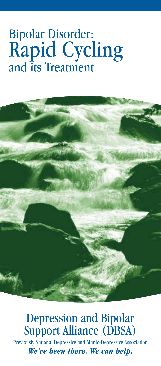# Bipolar Disorder: Rapid Cycling and its Treatment



## Depression and Bipolar Support Alliance (DBSA)

Previously National Depressive and Manic-Depressive Association *We've been there. We can help.*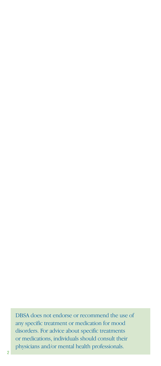DBSA does not endorse or recommend the use of any specific treatment or medication for mood disorders. For advice about specific treatments or medications, individuals should consult their physicians and/or mental health professionals.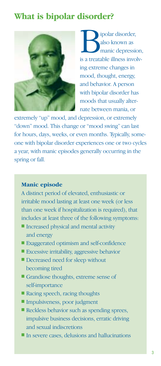### **What is bipolar disorder?**



**i** polar disorder,<br>also known as<br>is a treatable illness involvalso known as manic depression, ing extreme changes in mood, thought, energy, and behavior. A person with bipolar disorder has moods that usually alternate between mania, or

extremely "up" mood, and depression, or extremely "down" mood. This change or "mood swing" can last for hours, days, weeks, or even months. Typically, someone with bipolar disorder experiences one or two cycles a year, with manic episodes generally occurring in the spring or fall.

#### **Manic episode**

A distinct period of elevated, enthusiastic or irritable mood lasting at least one week (or less than one week if hospitalization is required), that includes at least three of the following symptoms:

- Increased physical and mental activity and energy
- Exaggerated optimism and self-confidence
- Excessive irritability, aggressive behavior
- Decreased need for sleep without becoming tired
- Grandiose thoughts, extreme sense of self-importance
- Racing speech, racing thoughts
- Impulsiveness, poor judgment
- Reckless behavior such as spending sprees, impulsive business decisions, erratic driving and sexual indiscretions
- In severe cases, delusions and hallucinations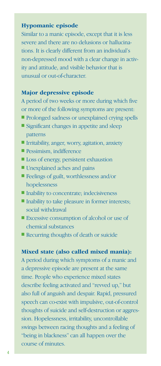#### **Hypomanic episode**

Similar to a manic episode, except that it is less severe and there are no delusions or hallucinations. It is clearly different from an individual's non-depressed mood with a clear change in activity and attitude, and visible behavior that is unusual or out-of-character.

#### **Major depressive episode**

A period of two weeks or more during which five or more of the following symptoms are present:

- Prolonged sadness or unexplained crying spells
- Significant changes in appetite and sleep patterns
- Irritability, anger, worry, agitation, anxiety
- Pessimism, indifference
- Loss of energy, persistent exhaustion
- Unexplained aches and pains
- Feelings of guilt, worthlessness and/or hopelessness
- Inability to concentrate; indecisiveness
- Inability to take pleasure in former interests; social withdrawal
- Excessive consumption of alcohol or use of chemical substances
- Recurring thoughts of death or suicide

#### **Mixed state (also called mixed mania):**

A period during which symptoms of a manic and a depressive episode are present at the same time. People who experience mixed states describe feeling activated and "revved up," but also full of anguish and despair. Rapid, pressured speech can co-exist with impulsive, out-of-control thoughts of suicide and self-destruction or aggression. Hopelessness, irritability, uncontrollable swings between racing thoughts and a feeling of "being in blackness" can all happen over the course of minutes.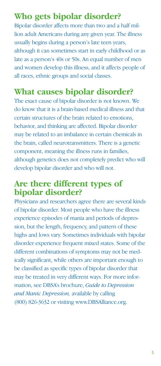### **Who gets bipolar disorder?**

Bipolar disorder affects more than two and a half million adult Americans during any given year. The illness usually begins during a person's late teen years, although it can sometimes start in early childhood or as late as a person's 40s or 50s. An equal number of men and women develop this illness, and it affects people of all races, ethnic groups and social classes.

### **What causes bipolar disorder?**

The exact cause of bipolar disorder is not known. We do know that it is a brain-based medical illness and that certain structures of the brain related to emotions, behavior, and thinking are affected. Bipolar disorder may be related to an imbalance in certain chemicals in the brain, called neurotransmitters. There is a genetic component, meaning the illness runs in families, although genetics does not completely predict who will develop bipolar disorder and who will not.

### **Are there different types of bipolar disorder?**

Physicians and researchers agree there are several kinds of bipolar disorder. Most people who have the illness experience episodes of mania and periods of depression, but the length, frequency, and pattern of these highs and lows vary. Sometimes individuals with bipolar disorder experience frequent mixed states. Some of the different combinations of symptoms may not be medically significant, while others are important enough to be classified as specific types of bipolar disorder that may be treated in very different ways. For more information, see DBSA's brochure, *Guide to Depression and Manic Depression,* available by calling (800) 826-3632 or visiting www.DBSAlliance.org.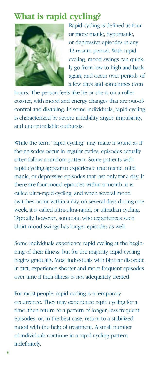### **What is rapid cycling?**



Rapid cycling is defined as four or more manic, hypomanic, or depressive episodes in any 12-month period. With rapid cycling, mood swings can quickly go from low to high and back again, and occur over periods of a few days and sometimes even

hours. The person feels like he or she is on a roller coaster, with mood and energy changes that are out-ofcontrol and disabling. In some individuals, rapid cycling is characterized by severe irritability, anger, impulsivity, and uncontrollable outbursts.

While the term "rapid cycling" may make it sound as if the episodes occur in regular cycles, episodes actually often follow a random pattern. Some patients with rapid cycling appear to experience true manic, mild manic, or depressive episodes that last only for a day. If there are four mood episodes within a month, it is called ultra-rapid cycling, and when several mood switches occur within a day, on several days during one week, it is called ultra-ultra-rapid, or ultradian cycling. Typically, however, someone who experiences such short mood swings has longer episodes as well.

Some individuals experience rapid cycling at the beginning of their illness, but for the majority, rapid cycling begins gradually. Most individuals with bipolar disorder, in fact, experience shorter and more frequent episodes over time if their illness is not adequately treated.

For most people, rapid cycling is a temporary occurrence. They may experience rapid cycling for a time, then return to a pattern of longer, less frequent episodes, or, in the best case, return to a stabilized mood with the help of treatment. A small number of individuals continue in a rapid cycling pattern indefinitely.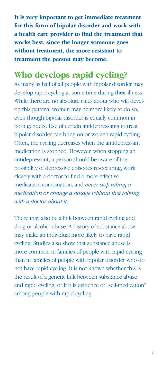**It is very important to get immediate treatment for this form of bipolar disorder and work with a health care provider to find the treatment that works best, since the longer someone goes without treatment, the more resistant to treatment the person may become.**

### **Who develops rapid cycling?**

As many as half of all people with bipolar disorder may develop rapid cycling at some time during their illness. While there are no absolute rules about who will develop this pattern, women may be more likely to do so, even though bipolar disorder is equally common in both genders. Use of certain antidepressants to treat bipolar disorder can bring on or worsen rapid cycling. Often, the cycling decreases when the antidepressant medication is stopped. However, when stopping an antidepressant, a person should be aware of the possibility of depressive episodes re-occuring, work closely with a doctor to find a more effective medication combination, and *never stop taking a medication or change a dosage without first talking with a doctor about it.*

There may also be a link between rapid cycling and drug or alcohol abuse. A history of substance abuse may make an individual more likely to have rapid cycling. Studies also show that substance abuse is more common in families of people with rapid cycling than in families of people with bipolar disorder who do not have rapid cycling. It is not known whether this is the result of a genetic link between substance abuse and rapid cycling, or if it is evidence of "self-medication" among people with rapid cycling.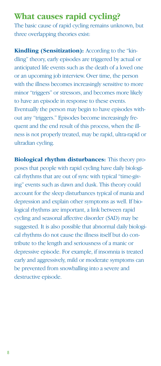### **What causes rapid cycling?**

The basic cause of rapid cycling remains unknown, but three overlapping theories exist:

**Kindling (Sensitization):** According to the "kindling" theory, early episodes are triggered by actual or anticipated life events such as the death of a loved one or an upcoming job interview. Over time, the person with the illness becomes increasingly sensitive to more minor "triggers" or stressors, and becomes more likely to have an episode in response to these events. Eventually the person may begin to have episodes without any "triggers." Episodes become increasingly frequent and the end result of this process, when the illness is not properly treated, may be rapid, ultra-rapid or ultradian cycling.

**Biological rhythm disturbances:** This theory proposes that people with rapid cycling have daily biological rhythms that are out of sync with typical "time-giving" events such as dawn and dusk. This theory could account for the sleep disturbances typical of mania and depression and explain other symptoms as well. If biological rhythms are important, a link between rapid cycling and seasonal affective disorder (SAD) may be suggested. It is also possible that abnormal daily biological rhythms do not cause the illness itself but do contribute to the length and seriousness of a manic or depressive episode. For example, if insomnia is treated early and aggressively, mild or moderate symptoms can be prevented from snowballing into a severe and destructive episode.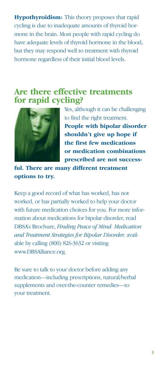**Hypothyroidism:** This theory proposes that rapid cycling is due to inadequate amounts of thyroid hormone in the brain. Most people with rapid cycling do have adequate levels of thyroid hormone in the blood, but they may respond well to treatment with thyroid hormone regardless of their initial blood levels.

#### **Are there effective treatments for rapid cycling?**



Yes, although it can be challenging to find the right treatment. **People with bipolar disorder shouldn't give up hope if the first few medications or medication combinations prescribed are not success-**

**ful. There are many different treatment options to try.** 

Keep a good record of what has worked, has not worked, or has partially worked to help your doctor with future medication choices for you. For more information about medications for bipolar disorder, read DBSA's Brochure, *Finding Peace of Mind: Medication and Treatment Strategies for Bipolar Disorder,* available by calling (800) 826-3632 or visiting www.DBSAlliance.org.

Be sure to talk to your doctor before adding any medication—including prescriptions, natural/herbal supplements and over-the-counter remedies—to your treatment.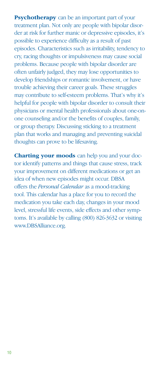**Psychotherapy** can be an important part of your treatment plan. Not only are people with bipolar disorder at risk for further manic or depressive episodes, it's possible to experience difficulty as a result of past episodes. Characteristics such as irritability, tendency to cry, racing thoughts or impulsiveness may cause social problems. Because people with bipolar disorder are often unfairly judged, they may lose opportunities to develop friendships or romantic involvement, or have trouble achieving their career goals. These struggles may contribute to self-esteem problems. That's why it's helpful for people with bipolar disorder to consult their physicians or mental health professionals about one-onone counseling and/or the benefits of couples, family, or group therapy. Discussing sticking to a treatment plan that works and managing and preventing suicidal thoughts can prove to be lifesaving.

**Charting your moods** can help you and your doctor identify patterns and things that cause stress, track your improvement on different medications or get an idea of when new episodes might occur. DBSA offers the *Personal Calendar* as a mood-tracking tool. This calendar has a place for you to record the medication you take each day, changes in your mood level, stressful life events, side effects and other symptoms. It's available by calling (800) 826-3632 or visiting www.DBSAlliance.org.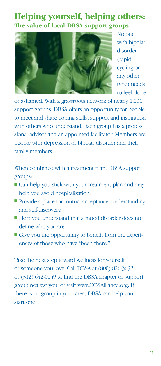#### **Helping yourself, helping others: The value of local DBSA support groups**



No one with bipolar disorder (rapid cycling or any other type) needs to feel alone

or ashamed. With a grassroots network of nearly 1,000 support groups, DBSA offers an opportunity for people to meet and share coping skills, support and inspiration with others who understand. Each group has a professional advisor and an appointed facilitator. Members are people with depression or bipolar disorder and their family members.

When combined with a treatment plan, DBSA support groups:

- Can help you stick with your treatment plan and may help you avoid hospitalization.
- Provide a place for mutual acceptance, understanding and self-discovery.
- Help you understand that a mood disorder does not define who you are.
- Give you the opportunity to benefit from the experiences of those who have "been there."

Take the next step toward wellness for yourself or someone you love. Call DBSA at (800) 826-3632 or (312) 642-0049 to find the DBSA chapter or support group nearest you, or visit www.DBSAlliance.org. If there is no group in your area, DBSA can help you start one.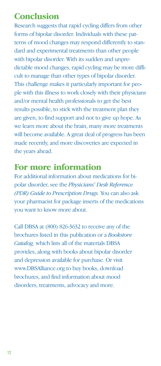### **Conclusion**

Research suggests that rapid cycling differs from other forms of bipolar disorder. Individuals with these patterns of mood changes may respond differently to standard and experimental treatments than other people with bipolar disorder. With its sudden and unpredictable mood changes, rapid cycling may be more difficult to manage than other types of bipolar disorder. This challenge makes it particularly important for people with this illness to work closely with their physicians and/or mental health professionals to get the best results possible, to stick with the treatment plan they are given, to find support and not to give up hope. As we learn more about the brain, many more treatments will become available. A great deal of progress has been made recently, and more discoveries are expected in the years ahead.

#### **For more information**

For additional information about medications for bipolar disorder, see the *Physicians' Desk Reference (PDR) Guide to Prescription Drugs.* You can also ask your pharmacist for package inserts of the medications you want to know more about.

Call DBSA at (800) 826-3632 to receive any of the brochures listed in this publication or a *Bookstore Catalog,* which lists all of the materials DBSA provides, along with books about bipolar disorder and depression available for purchase. Or visit www.DBSAlliance.org to buy books, download brochures, and find information about mood disorders, treatments, advocacy and more.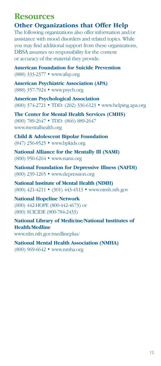#### **Resources**

#### **Other Organizations that Offer Help**

The following organizations also offer information and/or assistance with mood disorders and related topics. While you may find additional support from these organizations, DBSA assumes no responsibility for the content or accuracy of the material they provide.

**American Foundation for Suicide Prevention** (888) 333-2377 • www.afsp.org

**American Psychiatric Association (APA)** (888) 357-7924 • www.psych.org

**American Psychological Association** (800) 374-2721 • TDD: (202) 336-6123 • www.helping.apa.org

**The Center for Mental Health Services (CMHS)** (800) 789-2647 • TDD: (866) 889-2647 www.mentalhealth.org

**Child & Adolescent Bipolar Foundation** (847) 256-8525 • www.bpkids.org

**National Alliance for the Mentally Ill (NAMI)** (800) 950-6264 • www.nami.org

**National Foundation for Depressive Illness (NAFDI)** (800) 239-1265 • www.depression.org

**National Institute of Mental Health (NIMH)** (800) 421-4211 • (301) 443-4513 • www.nimh.nih.gov

**National Hopeline Network**  (800) 442-HOPE (800-442-4673) or (800) SUICIDE (800-784-2433)

**National Library of Medicine/National Institutes of Health/Medline** www.nlm.nih.gov/medlineplus/

**National Mental Health Association (NMHA)** (800) 969-6642 • www.nmha.org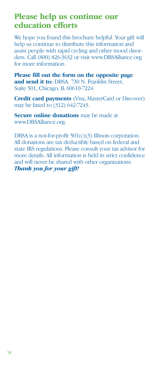#### **Please help us continue our education efforts**

We hope you found this brochure helpful. Your gift will help us continue to distribute this information and assist people with rapid cycling and other mood disorders. Call (800) 826-3632 or visit www.DBSAlliance.org for more information.

**Please fill out the form on the opposite page**  and send it to: DBSA 730 N. Franklin Street, Suite 501, Chicago, IL 60610-7224.

**Credit card payments** (Visa, MasterCard or Discover) may be faxed to (312) 642-7243.

**Secure online donations** may be made at www.DBSAlliance.org.

DBSA is a not-for-profit  $501(c)(3)$  Illinois corporation. All donations are tax deductible based on federal and state IRS regulations. Please consult your tax advisor for more details. All information is held in strict confidence and will never be shared with other organizations. *Thank you for your gift!*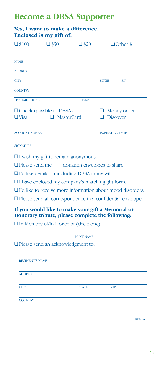#### **Become a DBSA Supporter**

### **Yes, I want to make a difference. Enclosed is my gift of:**  $\Box$ \$100  $\Box$ \$50  $\Box$ \$20  $\Box$  Other \$ NAME **ADDRESS** CITY STATE ZIP **COUNTRY** DAYTIME PHONE E-MAIL ❑ Check (payable to DBSA) ❑ Money order ❑ Visa ❑ MasterCard ❑ Discover ACCOUNT NUMBER EXPIRATION DATE **SIGNATURE** ❑ I wish my gift to remain anonymous. □ Please send me donation envelopes to share. ❑ I'd like details on including DBSA in my will.

❑ I have enclosed my company's matching gift form.

❑ I'd like to receive more information about mood disorders.

❑ Please send all correspondence in a confidential envelope.

#### **If you would like to make your gift a Memorial or Honorary tribute, please complete the following:**

❑ In Memory of/In Honor of (circle one)

PRINT NAME

❑ Please send an acknowledgment to:

| <b>RECIPIENT'S NAME</b> |              |     |  |
|-------------------------|--------------|-----|--|
| <b>ADDRESS</b>          |              |     |  |
| <b>CITY</b>             | <b>STATE</b> | ZIP |  |
| <b>COUNTRY</b>          |              |     |  |

[RACY02]